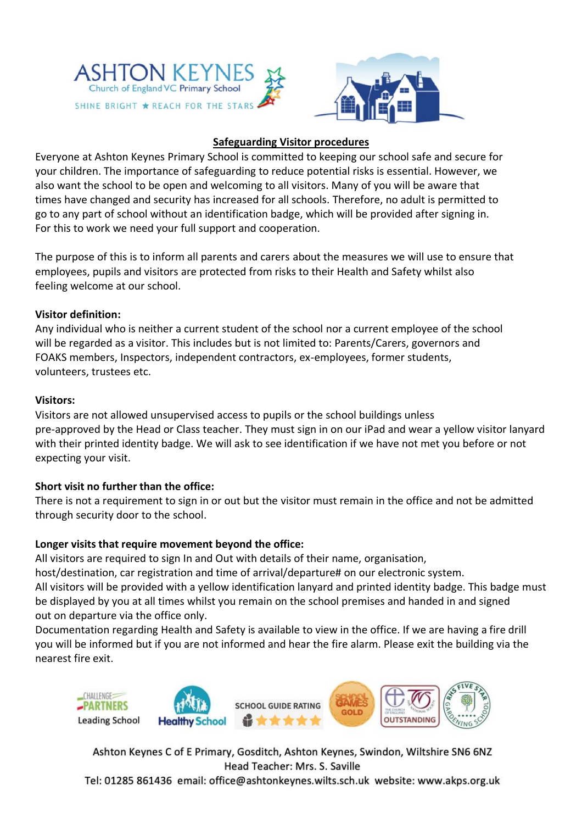



## **Safeguarding Visitor procedures**

Everyone at Ashton Keynes Primary School is committed to keeping our school safe and secure for your children. The importance of safeguarding to reduce potential risks is essential. However, we also want the school to be open and welcoming to all visitors. Many of you will be aware that times have changed and security has increased for all schools. Therefore, no adult is permitted to go to any part of school without an identification badge, which will be provided after signing in. For this to work we need your full support and cooperation.

The purpose of this is to inform all parents and carers about the measures we will use to ensure that employees, pupils and visitors are protected from risks to their Health and Safety whilst also feeling welcome at our school.

#### **Visitor definition:**

Any individual who is neither a current student of the school nor a current employee of the school will be regarded as a visitor. This includes but is not limited to: Parents/Carers, governors and FOAKS members, Inspectors, independent contractors, ex-employees, former students, volunteers, trustees etc.

#### **Visitors:**

Visitors are not allowed unsupervised access to pupils or the school buildings unless pre-approved by the Head or Class teacher. They must sign in on our iPad and wear a yellow visitor lanyard with their printed identity badge. We will ask to see identification if we have not met you before or not expecting your visit.

## **Short visit no further than the office:**

There is not a requirement to sign in or out but the visitor must remain in the office and not be admitted through security door to the school.

## **Longer visits that require movement beyond the office:**

All visitors are required to sign In and Out with details of their name, organisation,

host/destination, car registration and time of arrival/departure# on our electronic system.

All visitors will be provided with a yellow identification lanyard and printed identity badge. This badge must be displayed by you at all times whilst you remain on the school premises and handed in and signed out on departure via the office only.

Documentation regarding Health and Safety is available to view in the office. If we are having a fire drill you will be informed but if you are not informed and hear the fire alarm. Please exit the building via the nearest fire exit.



Ashton Keynes C of E Primary, Gosditch, Ashton Keynes, Swindon, Wiltshire SN6 6NZ Head Teacher: Mrs. S. Saville Tel: 01285 861436 email: office@ashtonkeynes.wilts.sch.uk website: www.akps.org.uk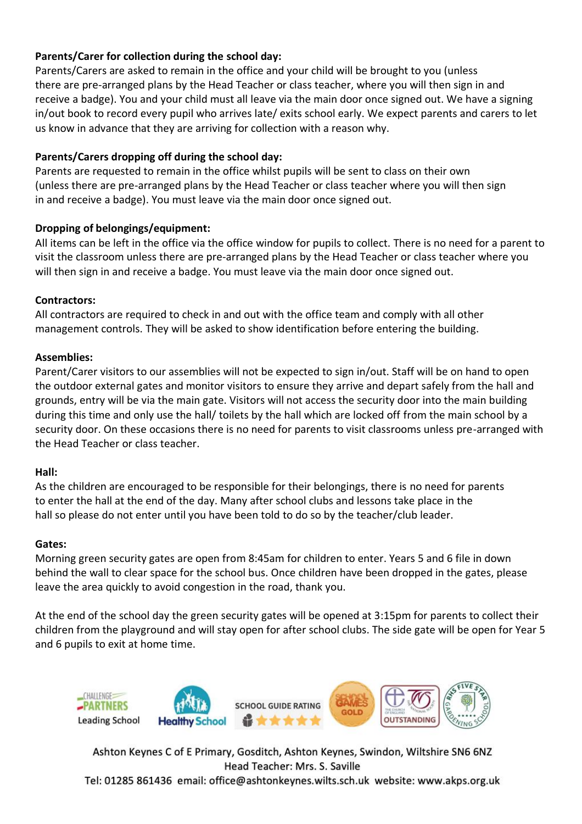# **Parents/Carer for collection during the school day:**

Parents/Carers are asked to remain in the office and your child will be brought to you (unless there are pre-arranged plans by the Head Teacher or class teacher, where you will then sign in and receive a badge). You and your child must all leave via the main door once signed out. We have a signing in/out book to record every pupil who arrives late/ exits school early. We expect parents and carers to let us know in advance that they are arriving for collection with a reason why.

## **Parents/Carers dropping off during the school day:**

Parents are requested to remain in the office whilst pupils will be sent to class on their own (unless there are pre-arranged plans by the Head Teacher or class teacher where you will then sign in and receive a badge). You must leave via the main door once signed out.

## **Dropping of belongings/equipment:**

All items can be left in the office via the office window for pupils to collect. There is no need for a parent to visit the classroom unless there are pre-arranged plans by the Head Teacher or class teacher where you will then sign in and receive a badge. You must leave via the main door once signed out.

## **Contractors:**

All contractors are required to check in and out with the office team and comply with all other management controls. They will be asked to show identification before entering the building.

#### **Assemblies:**

Parent/Carer visitors to our assemblies will not be expected to sign in/out. Staff will be on hand to open the outdoor external gates and monitor visitors to ensure they arrive and depart safely from the hall and grounds, entry will be via the main gate. Visitors will not access the security door into the main building during this time and only use the hall/ toilets by the hall which are locked off from the main school by a security door. On these occasions there is no need for parents to visit classrooms unless pre-arranged with the Head Teacher or class teacher.

#### **Hall:**

As the children are encouraged to be responsible for their belongings, there is no need for parents to enter the hall at the end of the day. Many after school clubs and lessons take place in the hall so please do not enter until you have been told to do so by the teacher/club leader.

#### **Gates:**

Morning green security gates are open from 8:45am for children to enter. Years 5 and 6 file in down behind the wall to clear space for the school bus. Once children have been dropped in the gates, please leave the area quickly to avoid congestion in the road, thank you.

At the end of the school day the green security gates will be opened at 3:15pm for parents to collect their children from the playground and will stay open for after school clubs. The side gate will be open for Year 5 and 6 pupils to exit at home time.



Ashton Keynes C of E Primary, Gosditch, Ashton Keynes, Swindon, Wiltshire SN6 6NZ Head Teacher: Mrs. S. Saville Tel: 01285 861436 email: office@ashtonkeynes.wilts.sch.uk website: www.akps.org.uk